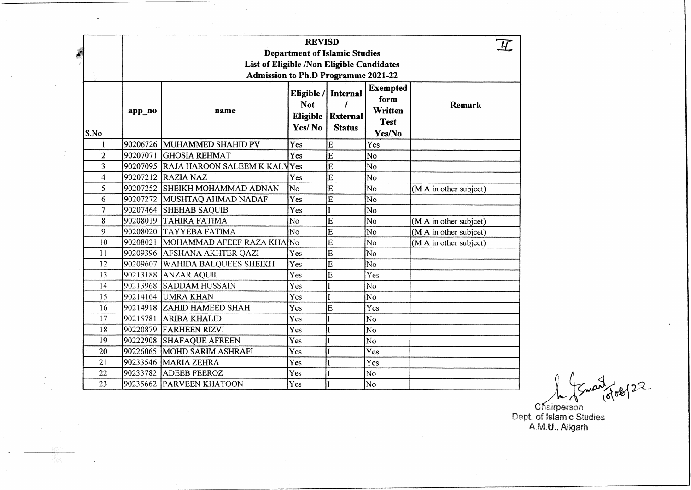| ê                       |        |                                       | <b>REVISD</b><br><b>Department of Islamic Studies</b><br>List of Eligible /Non Eligible Candidates<br><b>Admission to Ph.D Programme 2021-22</b> |                                                         |                                                             |                        |   |
|-------------------------|--------|---------------------------------------|--------------------------------------------------------------------------------------------------------------------------------------------------|---------------------------------------------------------|-------------------------------------------------------------|------------------------|---|
| S.No                    | app_no | name                                  | <b>Not</b><br>Eligible<br>Yes/No                                                                                                                 | Eligible / Internal<br><b>External</b><br><b>Status</b> | <b>Exempted</b><br>form<br>Written<br><b>Test</b><br>Yes/No | Remark                 |   |
| 1                       |        | 90206726 MUHAMMED SHAHID PV           | Yes                                                                                                                                              | E                                                       | Yes                                                         |                        |   |
| $\overline{2}$          |        | 90207071 GHOSIA REHMAT                | Yes                                                                                                                                              | $\bf{E}$                                                | <b>No</b>                                                   |                        |   |
| 3                       |        | 90207095 RAJA HAROON SALEEM K KALYYes |                                                                                                                                                  | E                                                       | No                                                          |                        |   |
| $\overline{\mathbf{4}}$ |        | 90207212 RAZIA NAZ                    | Yes                                                                                                                                              | $\mathbf E$                                             | No                                                          |                        |   |
| 5                       |        | 90207252 SHEIKH MOHAMMAD ADNAN        | No                                                                                                                                               | E                                                       | No                                                          | (M A in other subject) |   |
| 6                       |        | 90207272 MUSHTAQ AHMAD NADAF          | Yes                                                                                                                                              | E                                                       | No                                                          |                        |   |
| $\overline{7}$          |        | 90207464 SHEHAB SAQUIB                | Yes                                                                                                                                              |                                                         | No                                                          |                        |   |
| 8                       |        | 90208019 TAHIRA FATIMA                | $\overline{\text{No}}$                                                                                                                           | E                                                       | No                                                          | (M A in other subject) |   |
| 9                       |        | 90208020 TAYYEBA FATIMA               | No                                                                                                                                               | E                                                       | No                                                          | (M A in other subject) |   |
| 10                      |        | 90208021 MOHAMMAD AFEEF RAZA KHAINo   |                                                                                                                                                  | E                                                       | No                                                          | (M A in other subject) |   |
| 11                      |        | 90209396 AFSHANA AKHTER QAZI          | Yes                                                                                                                                              | E                                                       | No                                                          |                        |   |
| 12                      |        | 90209607   WAHIDA BALQUEES SHEIKH     | Yes                                                                                                                                              | E                                                       | No                                                          |                        |   |
| 13                      |        | 90213188 ANZAR AQUIL                  | Yes                                                                                                                                              | E                                                       | Yes                                                         |                        |   |
| 14                      |        | 90213968 SADDAM HUSSAIN               | Yes                                                                                                                                              |                                                         | N <sub>o</sub>                                              |                        |   |
| 15                      |        | 90214164 UMRA KHAN                    | Yes                                                                                                                                              |                                                         | No                                                          |                        |   |
| 16                      |        | 90214918 ZAHID HAMEED SHAH            | Yes                                                                                                                                              | E                                                       | Yes                                                         |                        |   |
| 17                      |        | 90215781 ARIBA KHALID                 | Yes                                                                                                                                              |                                                         | No                                                          |                        |   |
| 18                      |        | 90220879 FARHEEN RIZVI                | Yes                                                                                                                                              |                                                         | No                                                          |                        |   |
| 19                      |        | 90222908 SHAFAQUE AFREEN              | Yes                                                                                                                                              |                                                         | No                                                          |                        |   |
| 20                      |        | 90226065 MOHD SARIM ASHRAFI           | Yes                                                                                                                                              |                                                         | Yes                                                         |                        |   |
| 21                      |        | 90233546   MARIA ZEHRA                | Yes                                                                                                                                              |                                                         | Yes                                                         |                        |   |
| 22                      |        | 90233782 ADEEB FEEROZ                 | Yes                                                                                                                                              |                                                         | No                                                          |                        |   |
| 23                      |        | 90235662 PARVEEN KHATOON              | Yes                                                                                                                                              |                                                         | No                                                          |                        | ው |

 $\ddot{\phantom{0}}$ 

**• A**

**C**hairperson Dept, of Islamic Studies A M.U., Aligarh